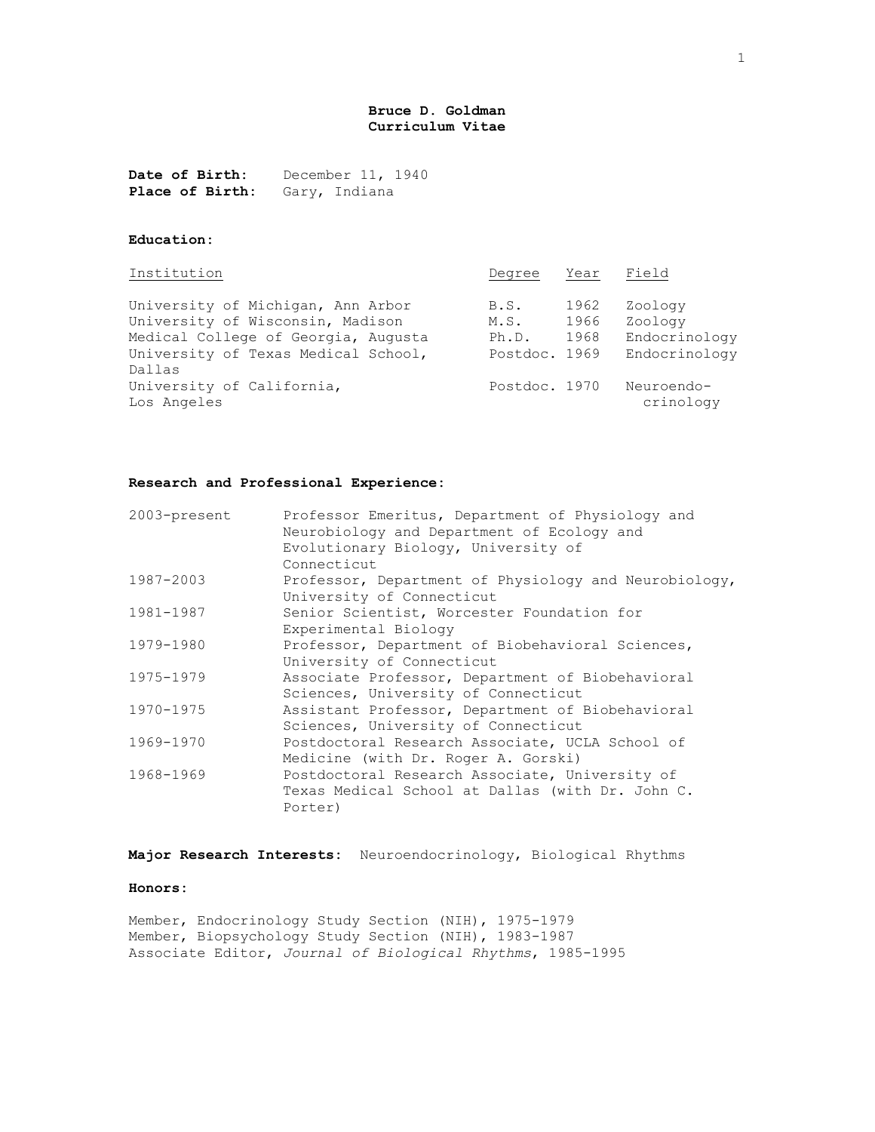# **Bruce D. Goldman Curriculum Vitae**

**Date of Birth:** December 11, 1940 Place of Birth: Gary, Indiana

# **Education:**

| Institution                                                                                                                                         | Degree                                 | Year                 | Field                                                |
|-----------------------------------------------------------------------------------------------------------------------------------------------------|----------------------------------------|----------------------|------------------------------------------------------|
| University of Michigan, Ann Arbor<br>University of Wisconsin, Madison<br>Medical College of Georgia, Augusta<br>University of Texas Medical School, | B.S.<br>M.S.<br>Ph.D.<br>Postdoc. 1969 | 1962<br>1966<br>1968 | Zoology<br>Zoology<br>Endocrinology<br>Endocrinology |
| Dallas<br>University of California,<br>Los Angeles                                                                                                  | Postdoc. 1970                          |                      | Neuroendo-<br>crinology                              |

### **Research and Professional Experience:**

| 2003-present | Professor Emeritus, Department of Physiology and<br>Neurobiology and Department of Ecology and |
|--------------|------------------------------------------------------------------------------------------------|
|              | Evolutionary Biology, University of                                                            |
|              | Connecticut                                                                                    |
| 1987-2003    | Professor, Department of Physiology and Neurobiology,                                          |
|              | University of Connecticut                                                                      |
| 1981-1987    | Senior Scientist, Worcester Foundation for                                                     |
|              | Experimental Biology                                                                           |
| 1979-1980    | Professor, Department of Biobehavioral Sciences,                                               |
|              | University of Connecticut                                                                      |
| 1975-1979    | Associate Professor, Department of Biobehavioral                                               |
|              | Sciences, University of Connecticut                                                            |
| 1970-1975    | Assistant Professor, Department of Biobehavioral                                               |
|              | Sciences, University of Connecticut                                                            |
| 1969-1970    | Postdoctoral Research Associate, UCLA School of                                                |
|              | Medicine (with Dr. Roger A. Gorski)                                                            |
| 1968-1969    | Postdoctoral Research Associate, University of                                                 |
|              | Texas Medical School at Dallas (with Dr. John C.                                               |
|              | Porter)                                                                                        |

**Major Research Interests:** Neuroendocrinology, Biological Rhythms

## **Honors:**

Member, Endocrinology Study Section (NIH), 1975-1979 Member, Biopsychology Study Section (NIH), 1983-1987 Associate Editor, *Journal of Biological Rhythms*, 1985-1995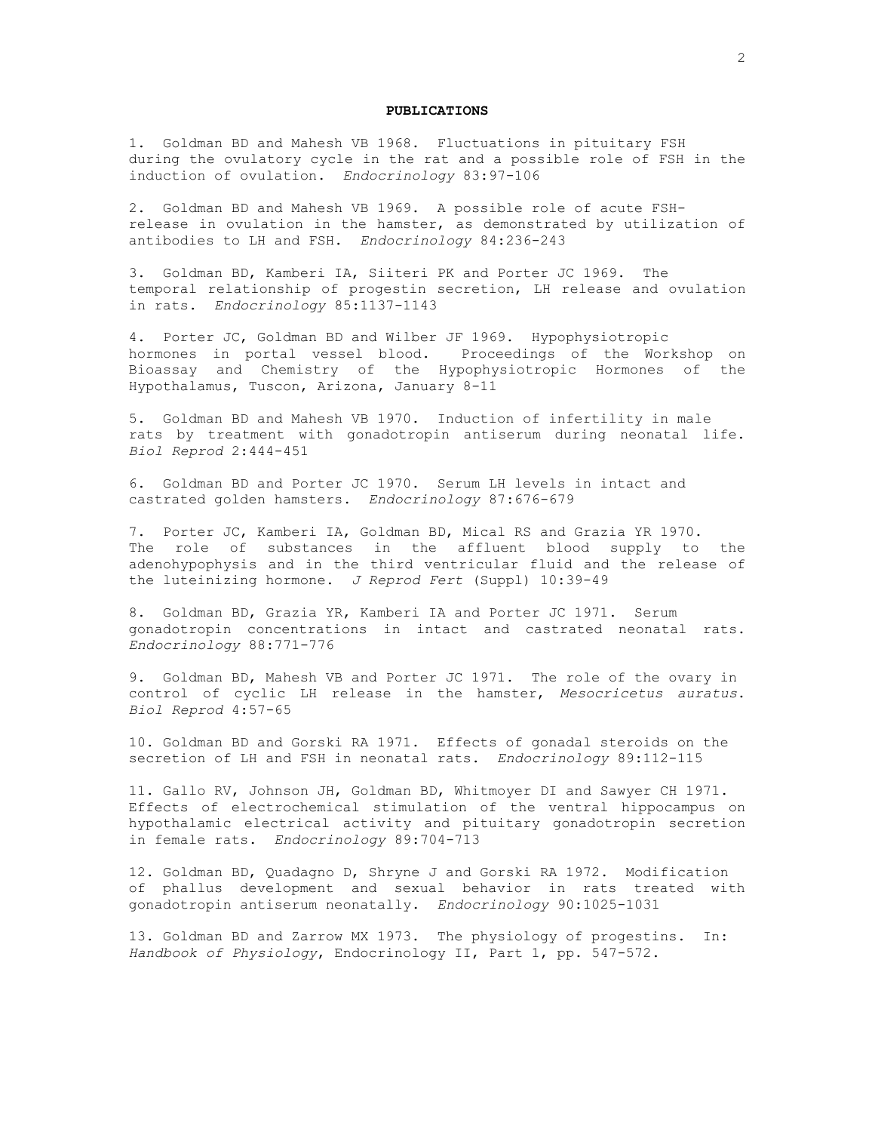### **PUBLICATIONS**

1. Goldman BD and Mahesh VB 1968. Fluctuations in pituitary FSH during the ovulatory cycle in the rat and a possible role of FSH in the induction of ovulation. *Endocrinology* 83:97-106

2. Goldman BD and Mahesh VB 1969. A possible role of acute FSHrelease in ovulation in the hamster, as demonstrated by utilization of antibodies to LH and FSH. *Endocrinology* 84:236-243

3. Goldman BD, Kamberi IA, Siiteri PK and Porter JC 1969. The temporal relationship of progestin secretion, LH release and ovulation in rats. *Endocrinology* 85:1137-1143

4. Porter JC, Goldman BD and Wilber JF 1969. Hypophysiotropic hormones in portal vessel blood. Proceedings of the Workshop on Bioassay and Chemistry of the Hypophysiotropic Hormones of the Hypothalamus, Tuscon, Arizona, January 8-11

5. Goldman BD and Mahesh VB 1970. Induction of infertility in male rats by treatment with gonadotropin antiserum during neonatal life. *Biol Reprod* 2:444-451

6. Goldman BD and Porter JC 1970. Serum LH levels in intact and castrated golden hamsters. *Endocrinology* 87:676-679

7. Porter JC, Kamberi IA, Goldman BD, Mical RS and Grazia YR 1970. The role of substances in the affluent blood supply to the adenohypophysis and in the third ventricular fluid and the release of the luteinizing hormone. *J Reprod Fert* (Suppl) 10:39-49

8. Goldman BD, Grazia YR, Kamberi IA and Porter JC 1971. Serum gonadotropin concentrations in intact and castrated neonatal rats. *Endocrinology* 88:771-776

9. Goldman BD, Mahesh VB and Porter JC 1971. The role of the ovary in control of cyclic LH release in the hamster, *Mesocricetus auratus*. *Biol Reprod* 4:57-65

10. Goldman BD and Gorski RA 1971. Effects of gonadal steroids on the secretion of LH and FSH in neonatal rats. *Endocrinology* 89:112-115

11. Gallo RV, Johnson JH, Goldman BD, Whitmoyer DI and Sawyer CH 1971. Effects of electrochemical stimulation of the ventral hippocampus on hypothalamic electrical activity and pituitary gonadotropin secretion in female rats. *Endocrinology* 89:704-713

12. Goldman BD, Quadagno D, Shryne J and Gorski RA 1972. Modification of phallus development and sexual behavior in rats treated with gonadotropin antiserum neonatally. *Endocrinology* 90:1025-1031

13. Goldman BD and Zarrow MX 1973. The physiology of progestins. In: *Handbook of Physiology*, Endocrinology II, Part 1, pp. 547-572.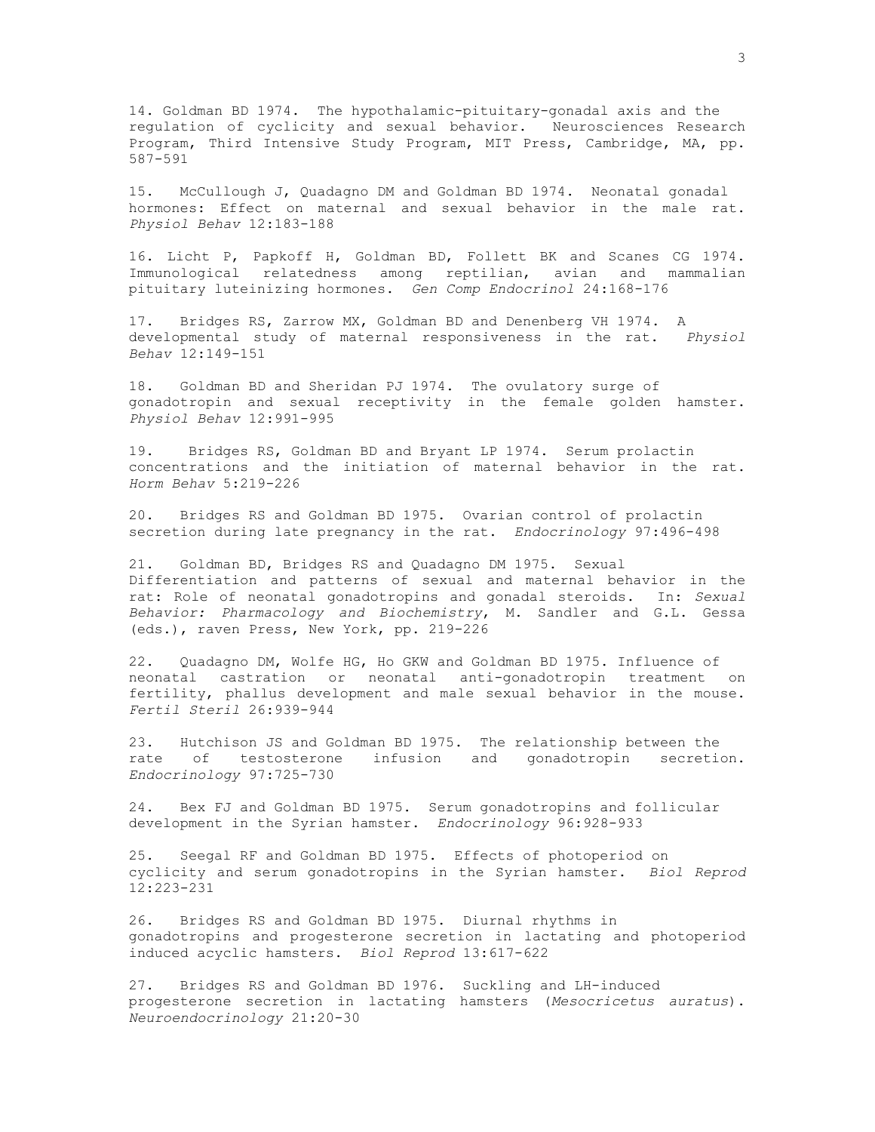14. Goldman BD 1974. The hypothalamic-pituitary-gonadal axis and the regulation of cyclicity and sexual behavior. Neurosciences Research Program, Third Intensive Study Program, MIT Press, Cambridge, MA, pp. 587-591

15. McCullough J, Quadagno DM and Goldman BD 1974. Neonatal gonadal hormones: Effect on maternal and sexual behavior in the male rat. *Physiol Behav* 12:183-188

16. Licht P, Papkoff H, Goldman BD, Follett BK and Scanes CG 1974. Immunological relatedness among reptilian, avian and mammalian pituitary luteinizing hormones. *Gen Comp Endocrinol* 24:168-176

17. Bridges RS, Zarrow MX, Goldman BD and Denenberg VH 1974. A developmental study of maternal responsiveness in the rat. *Physiol Behav* 12:149-151

18. Goldman BD and Sheridan PJ 1974. The ovulatory surge of gonadotropin and sexual receptivity in the female golden hamster. *Physiol Behav* 12:991-995

19. Bridges RS, Goldman BD and Bryant LP 1974. Serum prolactin concentrations and the initiation of maternal behavior in the rat. *Horm Behav* 5:219-226

20. Bridges RS and Goldman BD 1975. Ovarian control of prolactin secretion during late pregnancy in the rat. *Endocrinology* 97:496-498

21. Goldman BD, Bridges RS and Quadagno DM 1975. Sexual Differentiation and patterns of sexual and maternal behavior in the rat: Role of neonatal gonadotropins and gonadal steroids. In: *Sexual Behavior: Pharmacology and Biochemistry*, M. Sandler and G.L. Gessa (eds.), raven Press, New York, pp. 219-226

22. Quadagno DM, Wolfe HG, Ho GKW and Goldman BD 1975. Influence of neonatal castration or neonatal anti-gonadotropin treatment on fertility, phallus development and male sexual behavior in the mouse. *Fertil Steril* 26:939-944

23. Hutchison JS and Goldman BD 1975. The relationship between the rate of testosterone infusion and gonadotropin secretion. *Endocrinology* 97:725-730

24. Bex FJ and Goldman BD 1975. Serum gonadotropins and follicular development in the Syrian hamster. *Endocrinology* 96:928-933

25. Seegal RF and Goldman BD 1975. Effects of photoperiod on cyclicity and serum gonadotropins in the Syrian hamster. *Biol Reprod* 12:223-231

26. Bridges RS and Goldman BD 1975. Diurnal rhythms in gonadotropins and progesterone secretion in lactating and photoperiod induced acyclic hamsters. *Biol Reprod* 13:617-622

27. Bridges RS and Goldman BD 1976. Suckling and LH-induced progesterone secretion in lactating hamsters (*Mesocricetus auratus*). *Neuroendocrinology* 21:20-30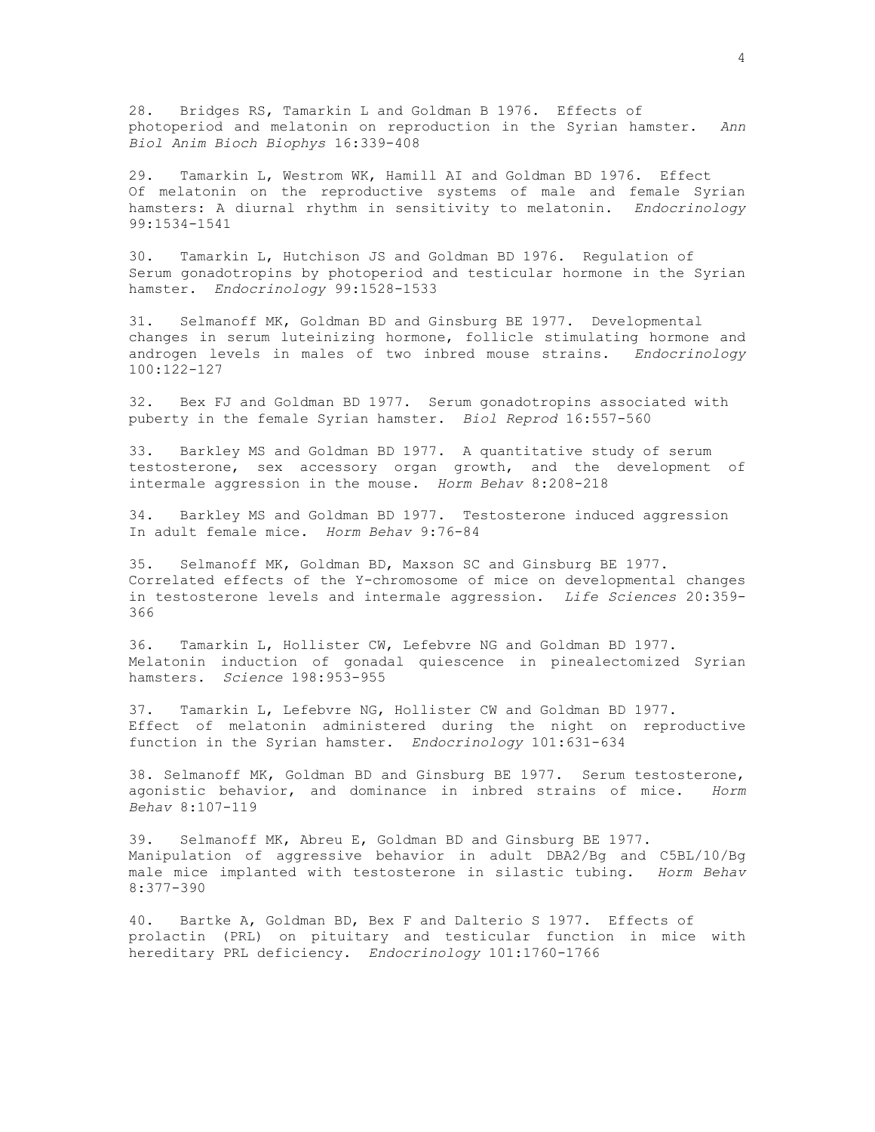28. Bridges RS, Tamarkin L and Goldman B 1976. Effects of photoperiod and melatonin on reproduction in the Syrian hamster. *Ann Biol Anim Bioch Biophys* 16:339-408

29. Tamarkin L, Westrom WK, Hamill AI and Goldman BD 1976. Effect Of melatonin on the reproductive systems of male and female Syrian hamsters: A diurnal rhythm in sensitivity to melatonin. *Endocrinology* 99:1534-1541

30. Tamarkin L, Hutchison JS and Goldman BD 1976. Regulation of Serum gonadotropins by photoperiod and testicular hormone in the Syrian hamster. *Endocrinology* 99:1528-1533

31. Selmanoff MK, Goldman BD and Ginsburg BE 1977. Developmental changes in serum luteinizing hormone, follicle stimulating hormone and androgen levels in males of two inbred mouse strains. *Endocrinology* 100:122-127

32. Bex FJ and Goldman BD 1977. Serum gonadotropins associated with puberty in the female Syrian hamster. *Biol Reprod* 16:557-560

33. Barkley MS and Goldman BD 1977. A quantitative study of serum testosterone, sex accessory organ growth, and the development of intermale aggression in the mouse. *Horm Behav* 8:208-218

34. Barkley MS and Goldman BD 1977. Testosterone induced aggression In adult female mice. *Horm Behav* 9:76-84

35. Selmanoff MK, Goldman BD, Maxson SC and Ginsburg BE 1977. Correlated effects of the Y-chromosome of mice on developmental changes in testosterone levels and intermale aggression. *Life Sciences* 20:359- 366

36. Tamarkin L, Hollister CW, Lefebvre NG and Goldman BD 1977. Melatonin induction of gonadal quiescence in pinealectomized Syrian hamsters. *Science* 198:953-955

37. Tamarkin L, Lefebvre NG, Hollister CW and Goldman BD 1977. Effect of melatonin administered during the night on reproductive function in the Syrian hamster. *Endocrinology* 101:631-634

38. Selmanoff MK, Goldman BD and Ginsburg BE 1977. Serum testosterone, agonistic behavior, and dominance in inbred strains of mice. *Horm Behav* 8:107-119

39. Selmanoff MK, Abreu E, Goldman BD and Ginsburg BE 1977. Manipulation of aggressive behavior in adult DBA2/Bg and C5BL/10/Bg male mice implanted with testosterone in silastic tubing. *Horm Behav* 8:377-390

40. Bartke A, Goldman BD, Bex F and Dalterio S 1977. Effects of prolactin (PRL) on pituitary and testicular function in mice with hereditary PRL deficiency. *Endocrinology* 101:1760-1766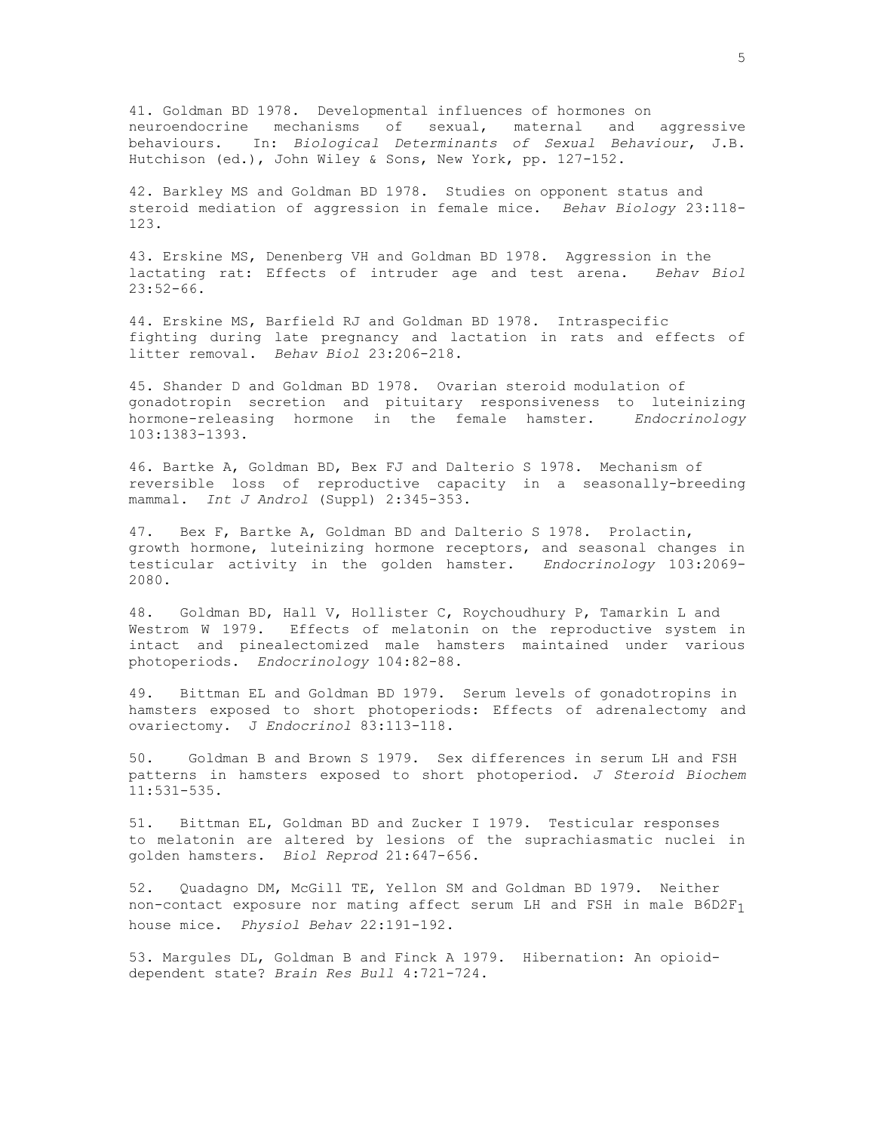41. Goldman BD 1978. Developmental influences of hormones on neuroendocrine mechanisms of sexual, maternal and aggressive behaviours. In: *Biological Determinants of Sexual Behaviour*, J.B. Hutchison (ed.), John Wiley & Sons, New York, pp. 127-152.

42. Barkley MS and Goldman BD 1978. Studies on opponent status and steroid mediation of aggression in female mice. *Behav Biology* 23:118- 123.

43. Erskine MS, Denenberg VH and Goldman BD 1978. Aggression in the lactating rat: Effects of intruder age and test arena. *Behav Biol*  $23:52-66$ .

44. Erskine MS, Barfield RJ and Goldman BD 1978. Intraspecific fighting during late pregnancy and lactation in rats and effects of litter removal. *Behav Biol* 23:206-218.

45. Shander D and Goldman BD 1978. Ovarian steroid modulation of gonadotropin secretion and pituitary responsiveness to luteinizing hormone-releasing hormone in the female hamster. *Endocrinology* 103:1383-1393.

46. Bartke A, Goldman BD, Bex FJ and Dalterio S 1978. Mechanism of reversible loss of reproductive capacity in a seasonally-breeding mammal. *Int J Androl* (Suppl) 2:345-353.

47. Bex F, Bartke A, Goldman BD and Dalterio S 1978. Prolactin, growth hormone, luteinizing hormone receptors, and seasonal changes in testicular activity in the golden hamster. *Endocrinology* 103:2069- 2080.

48. Goldman BD, Hall V, Hollister C, Roychoudhury P, Tamarkin L and Westrom W 1979. Effects of melatonin on the reproductive system in intact and pinealectomized male hamsters maintained under various photoperiods. *Endocrinology* 104:82-88.

49. Bittman EL and Goldman BD 1979. Serum levels of gonadotropins in hamsters exposed to short photoperiods: Effects of adrenalectomy and ovariectomy. J *Endocrinol* 83:113-118.

50. Goldman B and Brown S 1979. Sex differences in serum LH and FSH patterns in hamsters exposed to short photoperiod. *J Steroid Biochem* 11:531-535.

51. Bittman EL, Goldman BD and Zucker I 1979. Testicular responses to melatonin are altered by lesions of the suprachiasmatic nuclei in golden hamsters. *Biol Reprod* 21:647-656.

52. Quadagno DM, McGill TE, Yellon SM and Goldman BD 1979. Neither non-contact exposure nor mating affect serum LH and FSH in male  $B6D2F_1$ house mice. *Physiol Behav* 22:191-192.

53. Margules DL, Goldman B and Finck A 1979. Hibernation: An opioiddependent state? *Brain Res Bull* 4:721-724.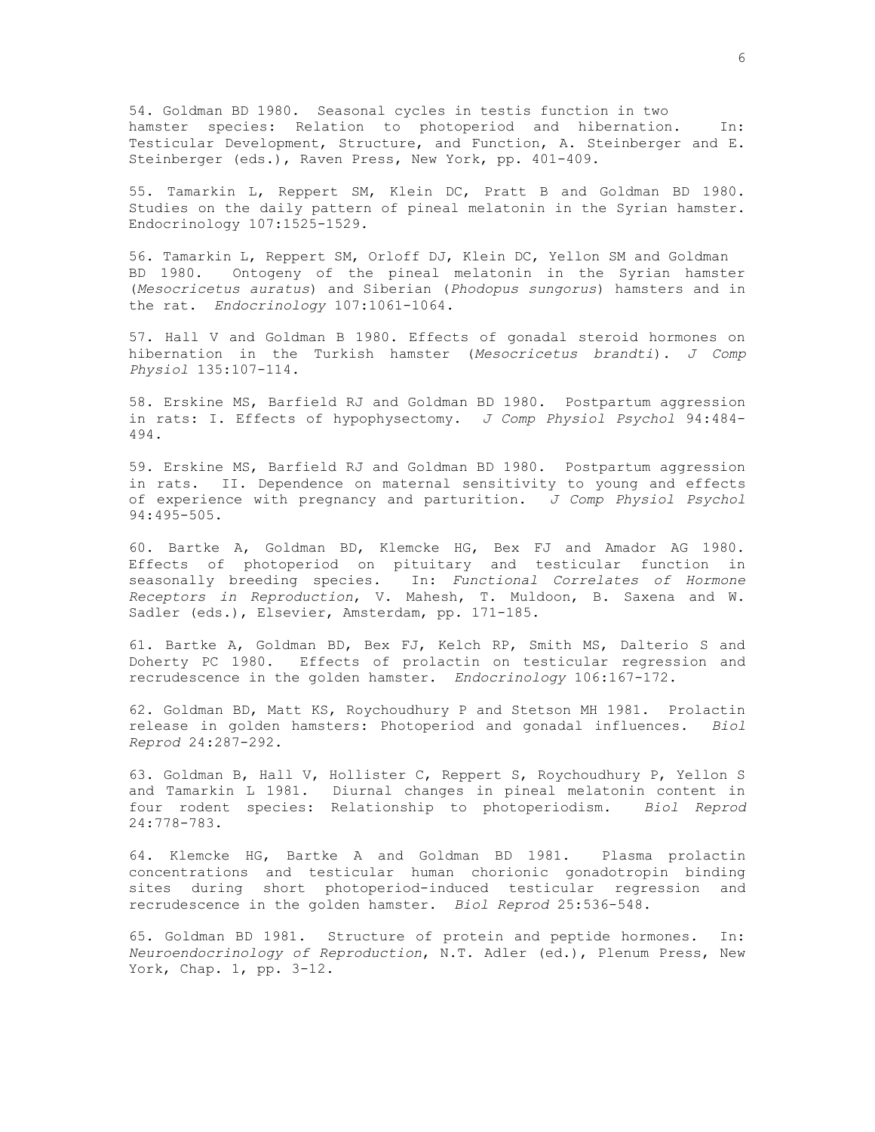54. Goldman BD 1980. Seasonal cycles in testis function in two hamster species: Relation to photoperiod and hibernation. In: Testicular Development, Structure, and Function, A. Steinberger and E. Steinberger (eds.), Raven Press, New York, pp. 401-409.

55. Tamarkin L, Reppert SM, Klein DC, Pratt B and Goldman BD 1980. Studies on the daily pattern of pineal melatonin in the Syrian hamster. Endocrinology 107:1525-1529.

56. Tamarkin L, Reppert SM, Orloff DJ, Klein DC, Yellon SM and Goldman BD 1980. Ontogeny of the pineal melatonin in the Syrian hamster (*Mesocricetus auratus*) and Siberian (*Phodopus sungorus*) hamsters and in the rat. *Endocrinology* 107:1061-1064.

57. Hall V and Goldman B 1980. Effects of gonadal steroid hormones on hibernation in the Turkish hamster (*Mesocricetus brandti*). *J Comp Physiol* 135:107-114.

58. Erskine MS, Barfield RJ and Goldman BD 1980. Postpartum aggression in rats: I. Effects of hypophysectomy. *J Comp Physiol Psychol* 94:484- 494.

59. Erskine MS, Barfield RJ and Goldman BD 1980. Postpartum aggression in rats. II. Dependence on maternal sensitivity to young and effects of experience with pregnancy and parturition. *J Comp Physiol Psychol* 94:495-505.

60. Bartke A, Goldman BD, Klemcke HG, Bex FJ and Amador AG 1980. Effects of photoperiod on pituitary and testicular function in seasonally breeding species. In: *Functional Correlates of Hormone Receptors in Reproduction*, V. Mahesh, T. Muldoon, B. Saxena and W. Sadler (eds.), Elsevier, Amsterdam, pp. 171-185.

61. Bartke A, Goldman BD, Bex FJ, Kelch RP, Smith MS, Dalterio S and Doherty PC 1980. Effects of prolactin on testicular regression and recrudescence in the golden hamster. *Endocrinology* 106:167-172.

62. Goldman BD, Matt KS, Roychoudhury P and Stetson MH 1981. Prolactin release in golden hamsters: Photoperiod and gonadal influences. *Biol Reprod* 24:287-292.

63. Goldman B, Hall V, Hollister C, Reppert S, Roychoudhury P, Yellon S and Tamarkin L 1981. Diurnal changes in pineal melatonin content in four rodent species: Relationship to photoperiodism. *Biol Reprod* 24:778-783.

64. Klemcke HG, Bartke A and Goldman BD 1981. Plasma prolactin concentrations and testicular human chorionic gonadotropin binding sites during short photoperiod-induced testicular regression and recrudescence in the golden hamster. *Biol Reprod* 25:536-548.

65. Goldman BD 1981. Structure of protein and peptide hormones. In: *Neuroendocrinology of Reproduction*, N.T. Adler (ed.), Plenum Press, New York, Chap. 1, pp. 3-12.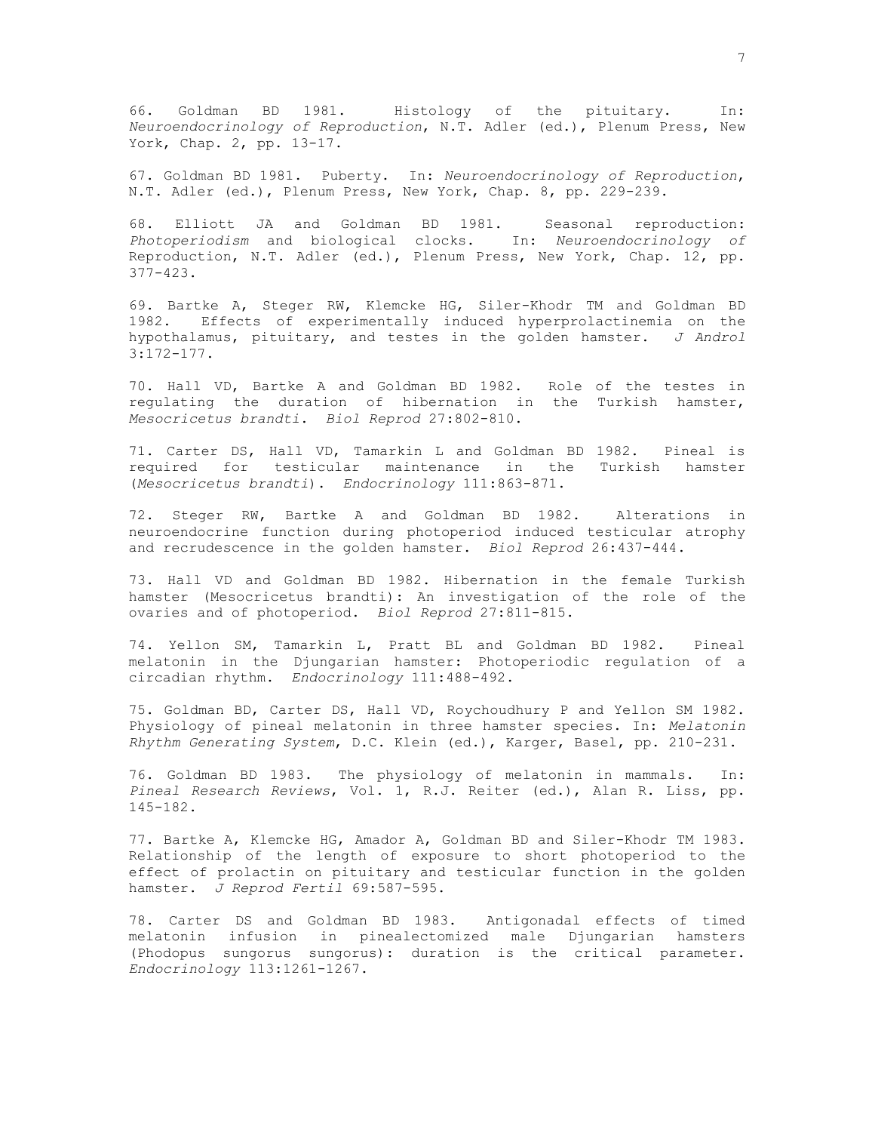66. Goldman BD 1981. Histology of the pituitary. In: *Neuroendocrinology of Reproduction*, N.T. Adler (ed.), Plenum Press, New York, Chap. 2, pp. 13-17.

67. Goldman BD 1981. Puberty. In: *Neuroendocrinology of Reproduction*, N.T. Adler (ed.), Plenum Press, New York, Chap. 8, pp. 229-239.

68. Elliott JA and Goldman BD 1981. Seasonal reproduction: *Photoperiodism* and biological clocks. In: *Neuroendocrinology of* Reproduction, N.T. Adler (ed.), Plenum Press, New York, Chap. 12, pp. 377-423.

69. Bartke A, Steger RW, Klemcke HG, Siler-Khodr TM and Goldman BD 1982. Effects of experimentally induced hyperprolactinemia on the hypothalamus, pituitary, and testes in the golden hamster. *J Androl* 3:172-177.

70. Hall VD, Bartke A and Goldman BD 1982. Role of the testes in regulating the duration of hibernation in the Turkish hamster, *Mesocricetus brandti*. *Biol Reprod* 27:802-810.

71. Carter DS, Hall VD, Tamarkin L and Goldman BD 1982. Pineal is required for testicular maintenance in the Turkish hamster (*Mesocricetus brandti*). *Endocrinology* 111:863-871.

72. Steger RW, Bartke A and Goldman BD 1982. Alterations in neuroendocrine function during photoperiod induced testicular atrophy and recrudescence in the golden hamster. *Biol Reprod* 26:437-444.

73. Hall VD and Goldman BD 1982. Hibernation in the female Turkish hamster (Mesocricetus brandti): An investigation of the role of the ovaries and of photoperiod. *Biol Reprod* 27:811-815.

74. Yellon SM, Tamarkin L, Pratt BL and Goldman BD 1982. Pineal melatonin in the Djungarian hamster: Photoperiodic regulation of a circadian rhythm. *Endocrinology* 111:488-492.

75. Goldman BD, Carter DS, Hall VD, Roychoudhury P and Yellon SM 1982. Physiology of pineal melatonin in three hamster species. In: *Melatonin Rhythm Generating System*, D.C. Klein (ed.), Karger, Basel, pp. 210-231.

76. Goldman BD 1983. The physiology of melatonin in mammals. In: *Pineal Research Reviews*, Vol. 1, R.J. Reiter (ed.), Alan R. Liss, pp. 145-182.

77. Bartke A, Klemcke HG, Amador A, Goldman BD and Siler-Khodr TM 1983. Relationship of the length of exposure to short photoperiod to the effect of prolactin on pituitary and testicular function in the golden hamster. *J Reprod Fertil* 69:587-595.

78. Carter DS and Goldman BD 1983. Antigonadal effects of timed melatonin infusion in pinealectomized male Djungarian hamsters (Phodopus sungorus sungorus): duration is the critical parameter. *Endocrinology* 113:1261-1267.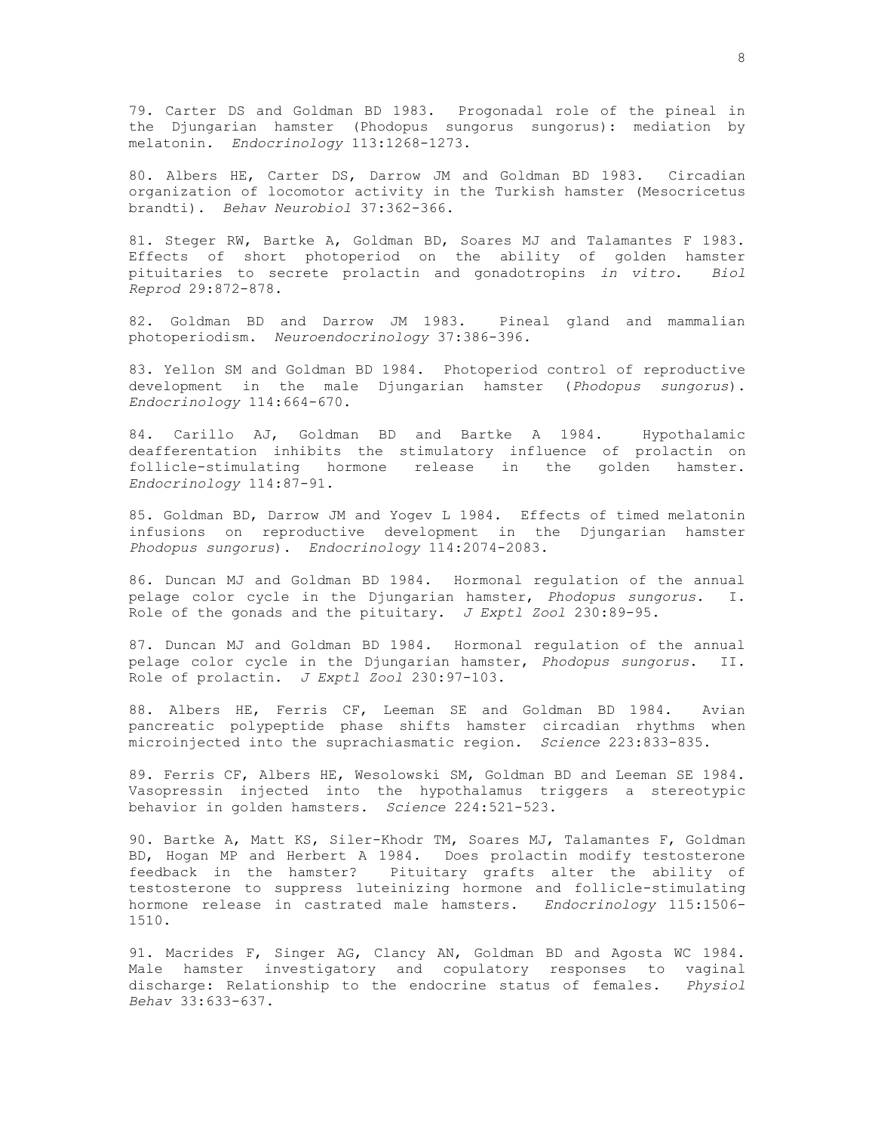79. Carter DS and Goldman BD 1983. Progonadal role of the pineal in the Djungarian hamster (Phodopus sungorus sungorus): mediation by melatonin. *Endocrinology* 113:1268-1273.

80. Albers HE, Carter DS, Darrow JM and Goldman BD 1983. Circadian organization of locomotor activity in the Turkish hamster (Mesocricetus brandti). *Behav Neurobiol* 37:362-366.

81. Steger RW, Bartke A, Goldman BD, Soares MJ and Talamantes F 1983. Effects of short photoperiod on the ability of golden hamster pituitaries to secrete prolactin and gonadotropins *in vitro*. *Biol Reprod* 29:872-878.

82. Goldman BD and Darrow JM 1983. Pineal gland and mammalian photoperiodism. *Neuroendocrinology* 37:386-396.

83. Yellon SM and Goldman BD 1984. Photoperiod control of reproductive development in the male Djungarian hamster (*Phodopus sungorus*). *Endocrinology* 114:664-670.

84. Carillo AJ, Goldman BD and Bartke A 1984. Hypothalamic deafferentation inhibits the stimulatory influence of prolactin on follicle-stimulating hormone release in the golden hamster. *Endocrinology* 114:87-91.

85. Goldman BD, Darrow JM and Yogev L 1984. Effects of timed melatonin infusions on reproductive development in the Djungarian hamster *Phodopus sungorus*). *Endocrinology* 114:2074-2083.

86. Duncan MJ and Goldman BD 1984. Hormonal regulation of the annual pelage color cycle in the Djungarian hamster, *Phodopus sungorus*. I. Role of the gonads and the pituitary. *J Exptl Zool* 230:89-95.

87. Duncan MJ and Goldman BD 1984. Hormonal regulation of the annual pelage color cycle in the Djungarian hamster, *Phodopus sungorus*. II. Role of prolactin. *J Exptl Zool* 230:97-103.

88. Albers HE, Ferris CF, Leeman SE and Goldman BD 1984. Avian pancreatic polypeptide phase shifts hamster circadian rhythms when microinjected into the suprachiasmatic region. *Science* 223:833-835.

89. Ferris CF, Albers HE, Wesolowski SM, Goldman BD and Leeman SE 1984. Vasopressin injected into the hypothalamus triggers a stereotypic behavior in golden hamsters. *Science* 224:521-523.

90. Bartke A, Matt KS, Siler-Khodr TM, Soares MJ, Talamantes F, Goldman BD, Hogan MP and Herbert A 1984. Does prolactin modify testosterone feedback in the hamster? Pituitary grafts alter the ability of testosterone to suppress luteinizing hormone and follicle-stimulating hormone release in castrated male hamsters. *Endocrinology* 115:1506- 1510.

91. Macrides F, Singer AG, Clancy AN, Goldman BD and Agosta WC 1984. Male hamster investigatory and copulatory responses to vaginal discharge: Relationship to the endocrine status of females. *Physiol Behav* 33:633-637.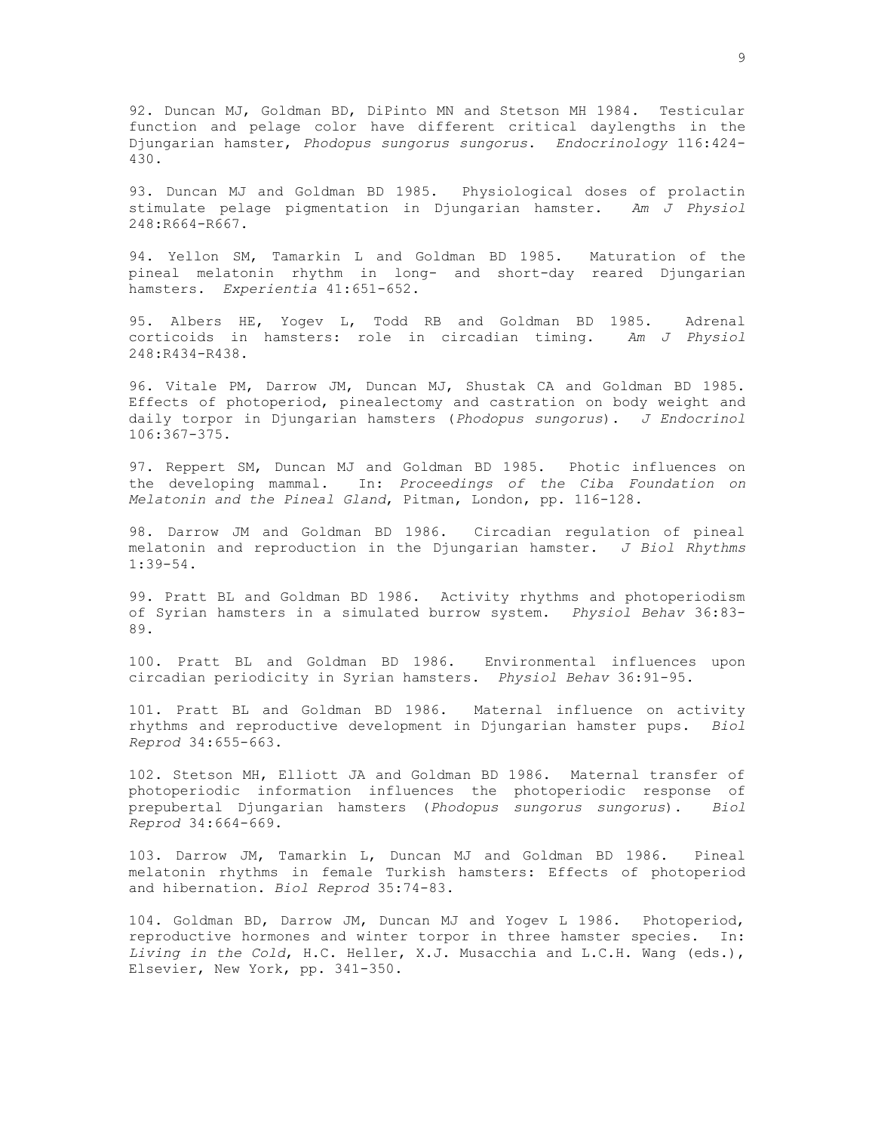92. Duncan MJ, Goldman BD, DiPinto MN and Stetson MH 1984. Testicular function and pelage color have different critical daylengths in the Djungarian hamster, *Phodopus sungorus sungorus*. *Endocrinology* 116:424- 430.

93. Duncan MJ and Goldman BD 1985. Physiological doses of prolactin stimulate pelage pigmentation in Djungarian hamster. *Am J Physiol* 248:R664-R667.

94. Yellon SM, Tamarkin L and Goldman BD 1985. Maturation of the pineal melatonin rhythm in long- and short-day reared Djungarian hamsters. *Experientia* 41:651-652.

95. Albers HE, Yogev L, Todd RB and Goldman BD 1985. Adrenal corticoids in hamsters: role in circadian timing. *Am J Physiol* 248:R434-R438.

96. Vitale PM, Darrow JM, Duncan MJ, Shustak CA and Goldman BD 1985. Effects of photoperiod, pinealectomy and castration on body weight and daily torpor in Djungarian hamsters (*Phodopus sungorus*). *J Endocrinol* 106:367-375.

97. Reppert SM, Duncan MJ and Goldman BD 1985. Photic influences on the developing mammal. In: *Proceedings of the Ciba Foundation on Melatonin and the Pineal Gland*, Pitman, London, pp. 116-128.

98. Darrow JM and Goldman BD 1986. Circadian regulation of pineal melatonin and reproduction in the Djungarian hamster. *J Biol Rhythms* 1:39-54.

99. Pratt BL and Goldman BD 1986. Activity rhythms and photoperiodism of Syrian hamsters in a simulated burrow system. *Physiol Behav* 36:83- 89.

100. Pratt BL and Goldman BD 1986. Environmental influences upon circadian periodicity in Syrian hamsters. *Physiol Behav* 36:91-95.

101. Pratt BL and Goldman BD 1986. Maternal influence on activity rhythms and reproductive development in Djungarian hamster pups. *Biol Reprod* 34:655-663.

102. Stetson MH, Elliott JA and Goldman BD 1986. Maternal transfer of photoperiodic information influences the photoperiodic response of prepubertal Djungarian hamsters (*Phodopus sungorus sungorus*). *Biol Reprod* 34:664-669.

103. Darrow JM, Tamarkin L, Duncan MJ and Goldman BD 1986. Pineal melatonin rhythms in female Turkish hamsters: Effects of photoperiod and hibernation. *Biol Reprod* 35:74-83.

104. Goldman BD, Darrow JM, Duncan MJ and Yogev L 1986. Photoperiod, reproductive hormones and winter torpor in three hamster species. In: *Living in the Cold*, H.C. Heller, X.J. Musacchia and L.C.H. Wang (eds.), Elsevier, New York, pp. 341-350.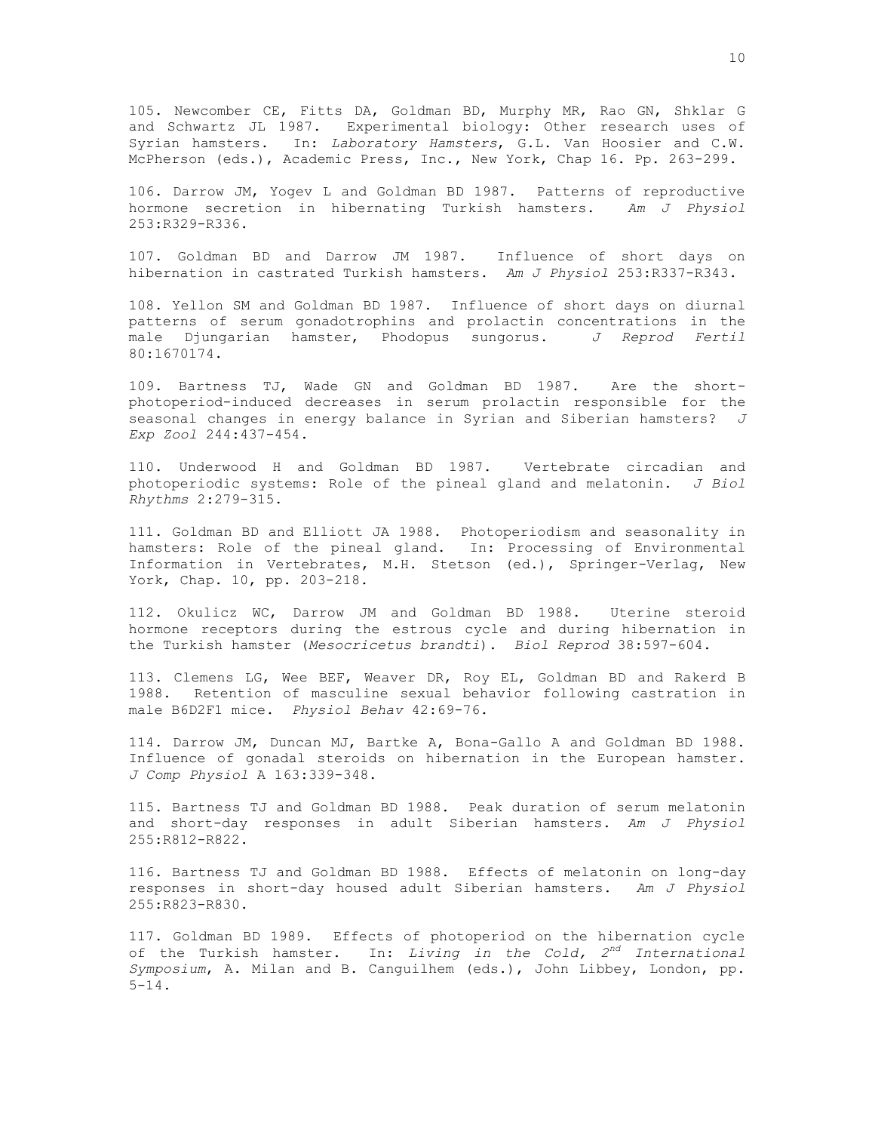105. Newcomber CE, Fitts DA, Goldman BD, Murphy MR, Rao GN, Shklar G and Schwartz JL 1987. Experimental biology: Other research uses of Syrian hamsters. In: *Laboratory Hamsters*, G.L. Van Hoosier and C.W. McPherson (eds.), Academic Press, Inc., New York, Chap 16. Pp. 263-299.

106. Darrow JM, Yogev L and Goldman BD 1987. Patterns of reproductive hormone secretion in hibernating Turkish hamsters. *Am J Physiol* 253:R329-R336.

107. Goldman BD and Darrow JM 1987. Influence of short days on hibernation in castrated Turkish hamsters. *Am J Physiol* 253:R337-R343.

108. Yellon SM and Goldman BD 1987. Influence of short days on diurnal patterns of serum gonadotrophins and prolactin concentrations in the male Djungarian hamster, Phodopus sungorus. *J Reprod Fertil* 80:1670174.

109. Bartness TJ, Wade GN and Goldman BD 1987. Are the shortphotoperiod-induced decreases in serum prolactin responsible for the seasonal changes in energy balance in Syrian and Siberian hamsters? *J Exp Zool* 244:437-454.

110. Underwood H and Goldman BD 1987. Vertebrate circadian and photoperiodic systems: Role of the pineal gland and melatonin. *J Biol Rhythms* 2:279-315.

111. Goldman BD and Elliott JA 1988. Photoperiodism and seasonality in hamsters: Role of the pineal gland. In: Processing of Environmental Information in Vertebrates, M.H. Stetson (ed.), Springer-Verlag, New York, Chap. 10, pp. 203-218.

112. Okulicz WC, Darrow JM and Goldman BD 1988. Uterine steroid hormone receptors during the estrous cycle and during hibernation in the Turkish hamster (*Mesocricetus brandti*). *Biol Reprod* 38:597-604.

113. Clemens LG, Wee BEF, Weaver DR, Roy EL, Goldman BD and Rakerd B 1988. Retention of masculine sexual behavior following castration in male B6D2F1 mice. *Physiol Behav* 42:69-76.

114. Darrow JM, Duncan MJ, Bartke A, Bona-Gallo A and Goldman BD 1988. Influence of gonadal steroids on hibernation in the European hamster. *J Comp Physiol* A 163:339-348.

115. Bartness TJ and Goldman BD 1988. Peak duration of serum melatonin and short-day responses in adult Siberian hamsters. *Am J Physiol* 255:R812-R822.

116. Bartness TJ and Goldman BD 1988. Effects of melatonin on long-day responses in short-day housed adult Siberian hamsters. *Am J Physiol* 255:R823-R830.

117. Goldman BD 1989. Effects of photoperiod on the hibernation cycle of the Turkish hamster. In: *Living in the Cold, 2nd International Symposium*, A. Milan and B. Canguilhem (eds.), John Libbey, London, pp.  $5 - 14$ .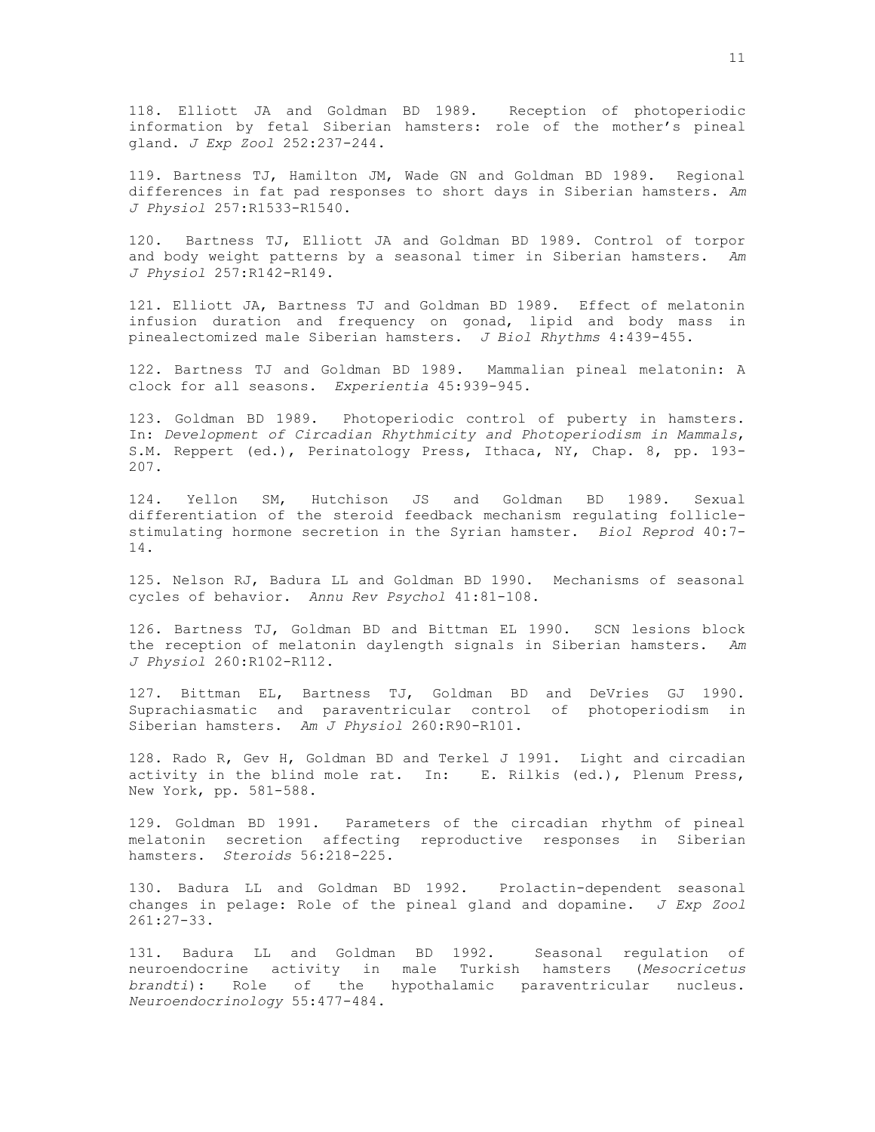118. Elliott JA and Goldman BD 1989. Reception of photoperiodic information by fetal Siberian hamsters: role of the mother's pineal gland. *J Exp Zool* 252:237-244.

119. Bartness TJ, Hamilton JM, Wade GN and Goldman BD 1989. Regional differences in fat pad responses to short days in Siberian hamsters. *Am J Physiol* 257:R1533-R1540.

120. Bartness TJ, Elliott JA and Goldman BD 1989. Control of torpor and body weight patterns by a seasonal timer in Siberian hamsters. *Am J Physiol* 257:R142-R149.

121. Elliott JA, Bartness TJ and Goldman BD 1989. Effect of melatonin infusion duration and frequency on gonad, lipid and body mass in pinealectomized male Siberian hamsters. *J Biol Rhythms* 4:439-455.

122. Bartness TJ and Goldman BD 1989. Mammalian pineal melatonin: A clock for all seasons. *Experientia* 45:939-945.

123. Goldman BD 1989. Photoperiodic control of puberty in hamsters. In: *Development of Circadian Rhythmicity and Photoperiodism in Mammals*, S.M. Reppert (ed.), Perinatology Press, Ithaca, NY, Chap. 8, pp. 193- 207.

124. Yellon SM, Hutchison JS and Goldman BD 1989. Sexual differentiation of the steroid feedback mechanism regulating folliclestimulating hormone secretion in the Syrian hamster. *Biol Reprod* 40:7- 14.

125. Nelson RJ, Badura LL and Goldman BD 1990. Mechanisms of seasonal cycles of behavior. *Annu Rev Psychol* 41:81-108.

126. Bartness TJ, Goldman BD and Bittman EL 1990. SCN lesions block the reception of melatonin daylength signals in Siberian hamsters. *Am J Physiol* 260:R102-R112.

127. Bittman EL, Bartness TJ, Goldman BD and DeVries GJ 1990. Suprachiasmatic and paraventricular control of photoperiodism in Siberian hamsters. *Am J Physiol* 260:R90-R101.

128. Rado R, Gev H, Goldman BD and Terkel J 1991. Light and circadian activity in the blind mole rat. In: E. Rilkis (ed.), Plenum Press, New York, pp. 581-588.

129. Goldman BD 1991. Parameters of the circadian rhythm of pineal melatonin secretion affecting reproductive responses in Siberian hamsters. *Steroids* 56:218-225.

130. Badura LL and Goldman BD 1992. Prolactin-dependent seasonal changes in pelage: Role of the pineal gland and dopamine. *J Exp Zool* 261:27-33.

131. Badura LL and Goldman BD 1992. Seasonal regulation of neuroendocrine activity in male Turkish hamsters (*Mesocricetus brandti*): Role of the hypothalamic paraventricular nucleus. *Neuroendocrinology* 55:477-484.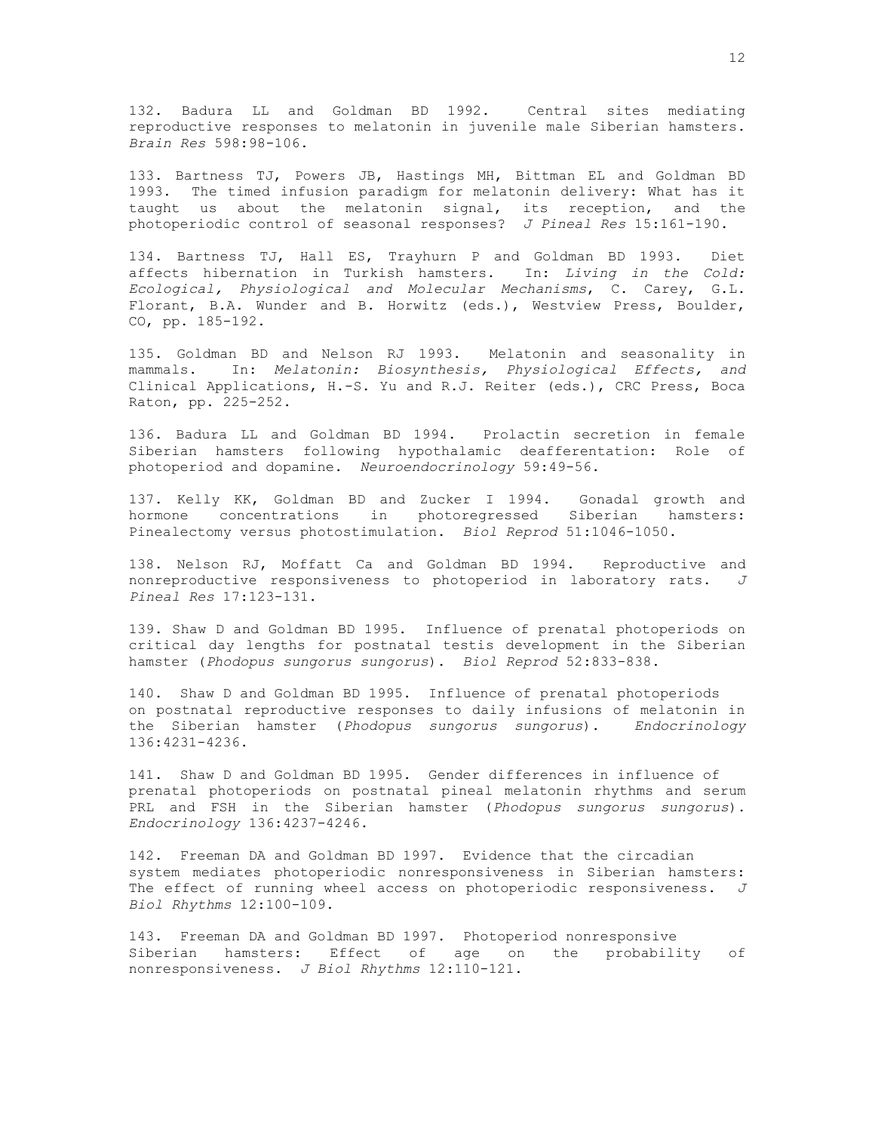132. Badura LL and Goldman BD 1992. Central sites mediating reproductive responses to melatonin in juvenile male Siberian hamsters. *Brain Res* 598:98-106.

133. Bartness TJ, Powers JB, Hastings MH, Bittman EL and Goldman BD 1993. The timed infusion paradigm for melatonin delivery: What has it taught us about the melatonin signal, its reception, and the photoperiodic control of seasonal responses? *J Pineal Res* 15:161-190.

134. Bartness TJ, Hall ES, Trayhurn P and Goldman BD 1993. Diet affects hibernation in Turkish hamsters. In: *Living in the Cold: Ecological, Physiological and Molecular Mechanisms*, C. Carey, G.L. Florant, B.A. Wunder and B. Horwitz (eds.), Westview Press, Boulder, CO, pp. 185-192.

135. Goldman BD and Nelson RJ 1993. Melatonin and seasonality in mammals. In: *Melatonin: Biosynthesis, Physiological Effects, and* Clinical Applications, H.-S. Yu and R.J. Reiter (eds.), CRC Press, Boca Raton, pp. 225-252.

136. Badura LL and Goldman BD 1994. Prolactin secretion in female Siberian hamsters following hypothalamic deafferentation: Role of photoperiod and dopamine. *Neuroendocrinology* 59:49-56.

137. Kelly KK, Goldman BD and Zucker I 1994. Gonadal growth and hormone concentrations in photoregressed Siberian hamsters: Pinealectomy versus photostimulation. *Biol Reprod* 51:1046-1050.

138. Nelson RJ, Moffatt Ca and Goldman BD 1994. Reproductive and nonreproductive responsiveness to photoperiod in laboratory rats. *J Pineal Res* 17:123-131.

139. Shaw D and Goldman BD 1995. Influence of prenatal photoperiods on critical day lengths for postnatal testis development in the Siberian hamster (*Phodopus sungorus sungorus*). *Biol Reprod* 52:833-838.

140. Shaw D and Goldman BD 1995. Influence of prenatal photoperiods on postnatal reproductive responses to daily infusions of melatonin in the Siberian hamster (*Phodopus sungorus sungorus*). *Endocrinology* 136:4231-4236.

141. Shaw D and Goldman BD 1995. Gender differences in influence of prenatal photoperiods on postnatal pineal melatonin rhythms and serum PRL and FSH in the Siberian hamster (*Phodopus sungorus sungorus*). *Endocrinology* 136:4237-4246.

142. Freeman DA and Goldman BD 1997. Evidence that the circadian system mediates photoperiodic nonresponsiveness in Siberian hamsters: The effect of running wheel access on photoperiodic responsiveness. *J Biol Rhythms* 12:100-109.

143. Freeman DA and Goldman BD 1997. Photoperiod nonresponsive Siberian hamsters: Effect of age on the probability of nonresponsiveness. *J Biol Rhythms* 12:110-121.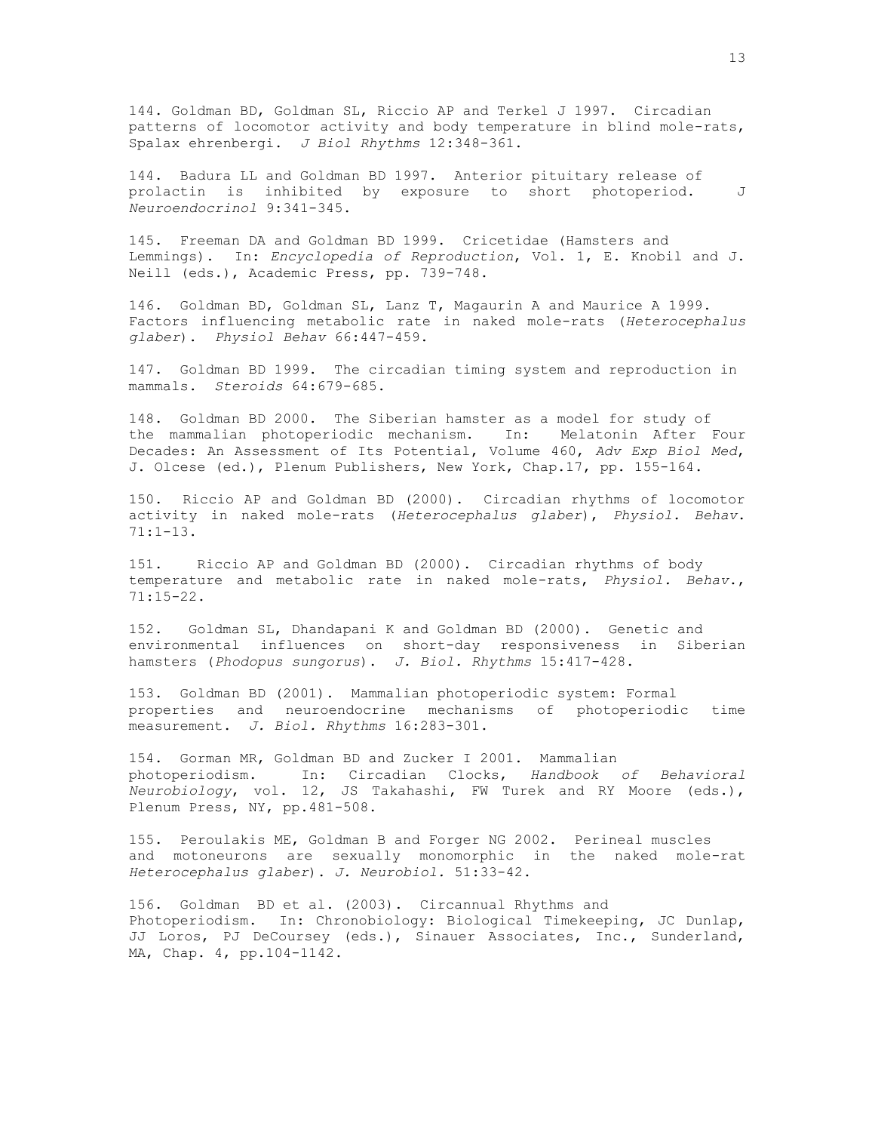144. Goldman BD, Goldman SL, Riccio AP and Terkel J 1997. Circadian patterns of locomotor activity and body temperature in blind mole-rats, Spalax ehrenbergi. *J Biol Rhythms* 12:348-361.

144. Badura LL and Goldman BD 1997. Anterior pituitary release of prolactin is inhibited by exposure to short photoperiod. J *Neuroendocrinol* 9:341-345.

145. Freeman DA and Goldman BD 1999. Cricetidae (Hamsters and Lemmings). In: *Encyclopedia of Reproduction*, Vol. 1, E. Knobil and J. Neill (eds.), Academic Press, pp. 739-748.

146. Goldman BD, Goldman SL, Lanz T, Magaurin A and Maurice A 1999. Factors influencing metabolic rate in naked mole-rats (*Heterocephalus glaber*). *Physiol Behav* 66:447-459.

147. Goldman BD 1999. The circadian timing system and reproduction in mammals. *Steroids* 64:679-685.

148. Goldman BD 2000. The Siberian hamster as a model for study of the mammalian photoperiodic mechanism. In: Melatonin After Four Decades: An Assessment of Its Potential, Volume 460, *Adv Exp Biol Med*, J. Olcese (ed.), Plenum Publishers, New York, Chap.17, pp. 155-164.

150. Riccio AP and Goldman BD (2000). Circadian rhythms of locomotor activity in naked mole-rats (*Heterocephalus glaber*), *Physiol. Behav*. 71:1-13.

151. Riccio AP and Goldman BD (2000). Circadian rhythms of body temperature and metabolic rate in naked mole-rats, *Physiol. Behav*., 71:15-22.

152. Goldman SL, Dhandapani K and Goldman BD (2000). Genetic and environmental influences on short-day responsiveness in Siberian hamsters (*Phodopus sungorus*). *J. Biol. Rhythms* 15:417-428.

153. Goldman BD (2001). Mammalian photoperiodic system: Formal properties and neuroendocrine mechanisms of photoperiodic time measurement. *J. Biol. Rhythms* 16:283-301.

154. Gorman MR, Goldman BD and Zucker I 2001. Mammalian photoperiodism. In: Circadian Clocks, *Handbook of Behavioral Neurobiology*, vol. 12, JS Takahashi, FW Turek and RY Moore (eds.), Plenum Press, NY, pp.481-508.

155. Peroulakis ME, Goldman B and Forger NG 2002. Perineal muscles and motoneurons are sexually monomorphic in the naked mole-rat *Heterocephalus glaber*). *J. Neurobiol.* 51:33-42.

156. Goldman BD et al. (2003). Circannual Rhythms and Photoperiodism. In: Chronobiology: Biological Timekeeping, JC Dunlap, JJ Loros, PJ DeCoursey (eds.), Sinauer Associates, Inc., Sunderland, MA, Chap. 4, pp.104-1142.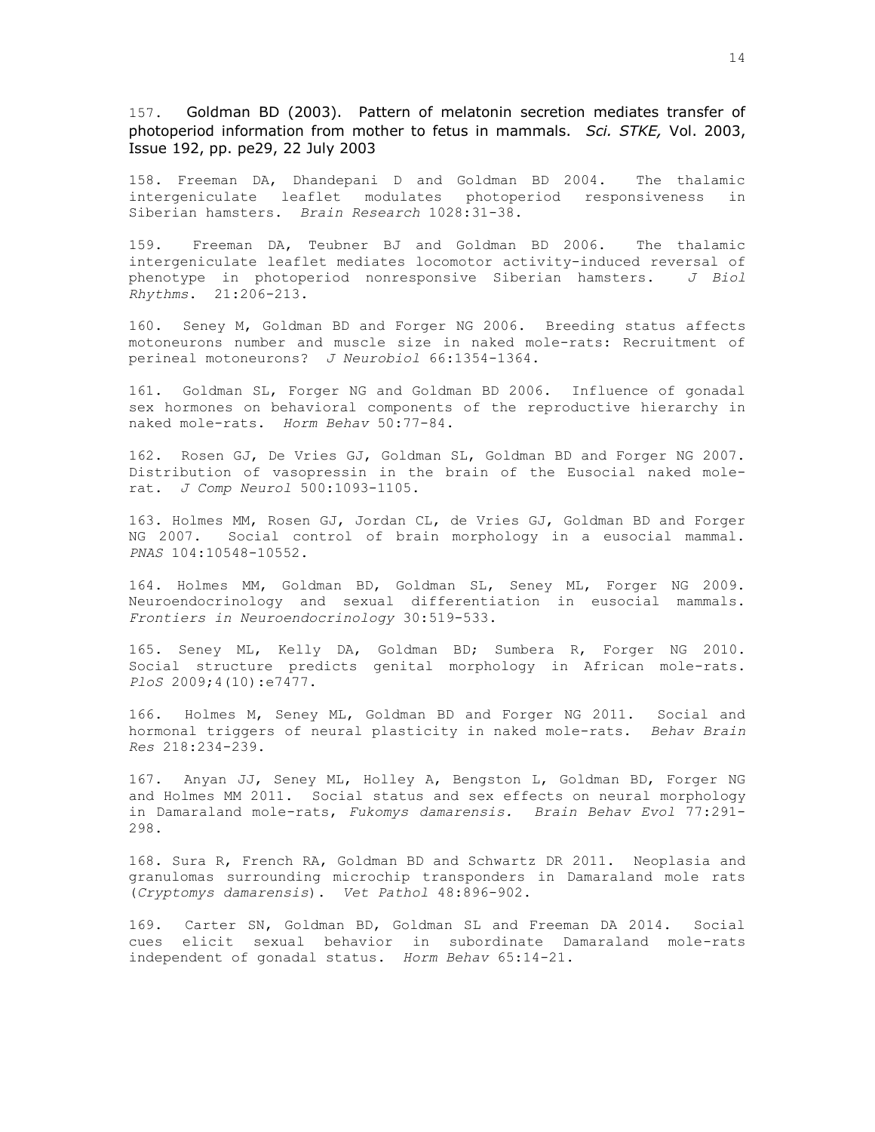157. Goldman BD (2003). Pattern of melatonin secretion mediates transfer of photoperiod information from mother to fetus in mammals. *Sci. STKE,* Vol. 2003, Issue 192, pp. pe29, 22 July 2003

158. Freeman DA, Dhandepani D and Goldman BD 2004. The thalamic intergeniculate leaflet modulates photoperiod responsiveness in Siberian hamsters. *Brain Research* 1028:31-38.

159. Freeman DA, Teubner BJ and Goldman BD 2006. The thalamic intergeniculate leaflet mediates locomotor activity-induced reversal of phenotype in photoperiod nonresponsive Siberian hamsters. *J Biol Rhythms*. 21:206-213.

160. Seney M, Goldman BD and Forger NG 2006. Breeding status affects motoneurons number and muscle size in naked mole-rats: Recruitment of perineal motoneurons? *J Neurobiol* 66:1354-1364.

161. Goldman SL, Forger NG and Goldman BD 2006. Influence of gonadal sex hormones on behavioral components of the reproductive hierarchy in naked mole-rats. *Horm Behav* 50:77-84.

162. Rosen GJ, De Vries GJ, Goldman SL, Goldman BD and Forger NG 2007. Distribution of vasopressin in the brain of the Eusocial naked molerat. *J Comp Neurol* 500:1093-1105.

163. Holmes MM, Rosen GJ, Jordan CL, de Vries GJ, Goldman BD and Forger NG 2007. Social control of brain morphology in a eusocial mammal. *PNAS* 104:10548-10552.

164. Holmes MM, Goldman BD, Goldman SL, Seney ML, Forger NG 2009. Neuroendocrinology and sexual differentiation in eusocial mammals. *Frontiers in Neuroendocrinology* 30:519-533.

165. Seney ML, Kelly DA, Goldman BD; Sumbera R, Forger NG 2010. Social structure predicts genital morphology in African mole-rats. *PloS* 2009;4(10):e7477.

166. Holmes M, Seney ML, Goldman BD and Forger NG 2011. Social and hormonal triggers of neural plasticity in naked mole-rats. *Behav Brain Res* 218:234-239.

167. Anyan JJ, Seney ML, Holley A, Bengston L, Goldman BD, Forger NG and Holmes MM 2011. Social status and sex effects on neural morphology in Damaraland mole-rats, *Fukomys damarensis. Brain Behav Evol* 77:291- 298.

168. Sura R, French RA, Goldman BD and Schwartz DR 2011. Neoplasia and granulomas surrounding microchip transponders in Damaraland mole rats (*Cryptomys damarensis*). *Vet Pathol* 48:896-902.

169. Carter SN, Goldman BD, Goldman SL and Freeman DA 2014. Social cues elicit sexual behavior in subordinate Damaraland mole-rats independent of gonadal status. *Horm Behav* 65:14-21.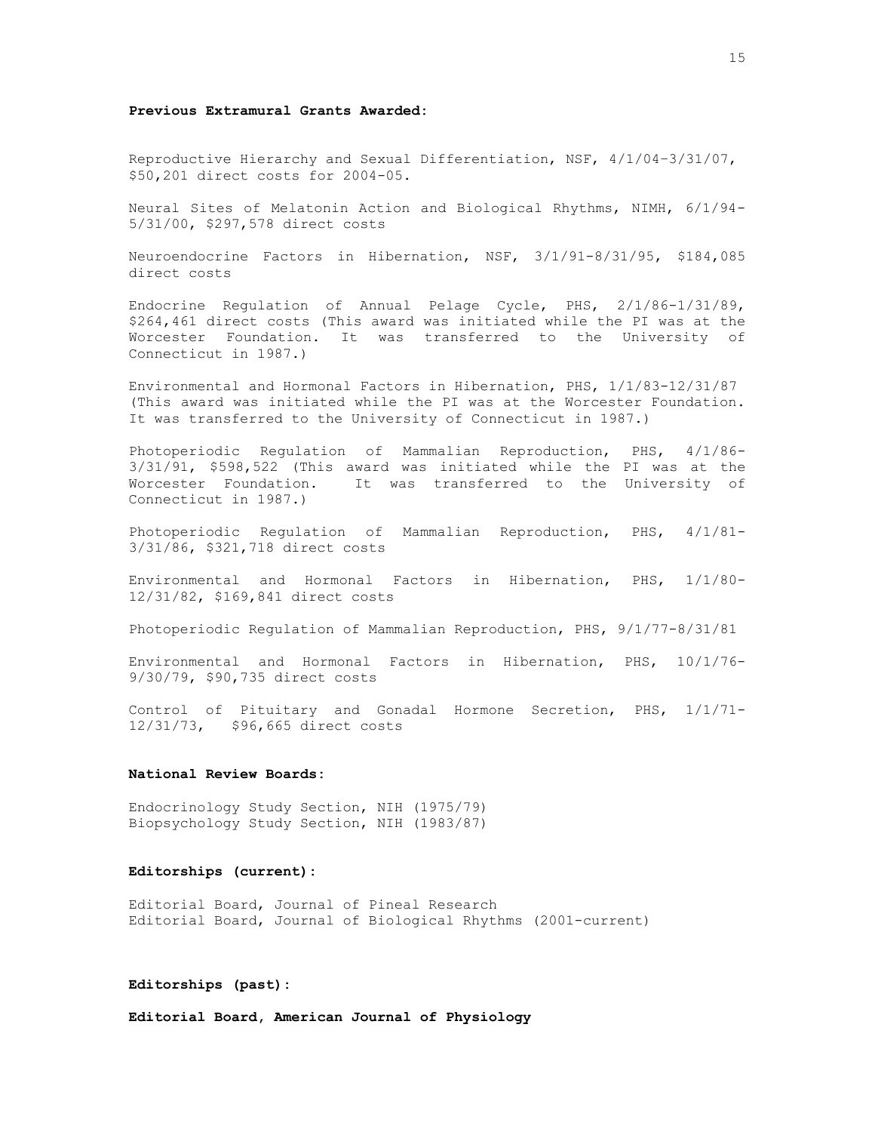### **Previous Extramural Grants Awarded:**

Reproductive Hierarchy and Sexual Differentiation, NSF, 4/1/04–3/31/07, \$50,201 direct costs for 2004-05.

Neural Sites of Melatonin Action and Biological Rhythms, NIMH, 6/1/94- 5/31/00, \$297,578 direct costs

Neuroendocrine Factors in Hibernation, NSF, 3/1/91-8/31/95, \$184,085 direct costs

Endocrine Regulation of Annual Pelage Cycle, PHS, 2/1/86-1/31/89, \$264,461 direct costs (This award was initiated while the PI was at the Worcester Foundation. It was transferred to the University of Connecticut in 1987.)

Environmental and Hormonal Factors in Hibernation, PHS, 1/1/83-12/31/87 (This award was initiated while the PI was at the Worcester Foundation. It was transferred to the University of Connecticut in 1987.)

Photoperiodic Regulation of Mammalian Reproduction, PHS, 4/1/86- 3/31/91, \$598,522 (This award was initiated while the PI was at the Worcester Foundation. It was transferred to the University of Connecticut in 1987.)

Photoperiodic Regulation of Mammalian Reproduction, PHS, 4/1/81- 3/31/86, \$321,718 direct costs

Environmental and Hormonal Factors in Hibernation, PHS, 1/1/80- 12/31/82, \$169,841 direct costs

Photoperiodic Regulation of Mammalian Reproduction, PHS, 9/1/77-8/31/81

Environmental and Hormonal Factors in Hibernation, PHS, 10/1/76- 9/30/79, \$90,735 direct costs

Control of Pituitary and Gonadal Hormone Secretion, PHS, 1/1/71- 12/31/73, \$96,665 direct costs

#### **National Review Boards:**

Endocrinology Study Section, NIH (1975/79) Biopsychology Study Section, NIH (1983/87)

#### **Editorships (current):**

Editorial Board, Journal of Pineal Research Editorial Board, Journal of Biological Rhythms (2001-current)

#### **Editorships (past):**

**Editorial Board, American Journal of Physiology**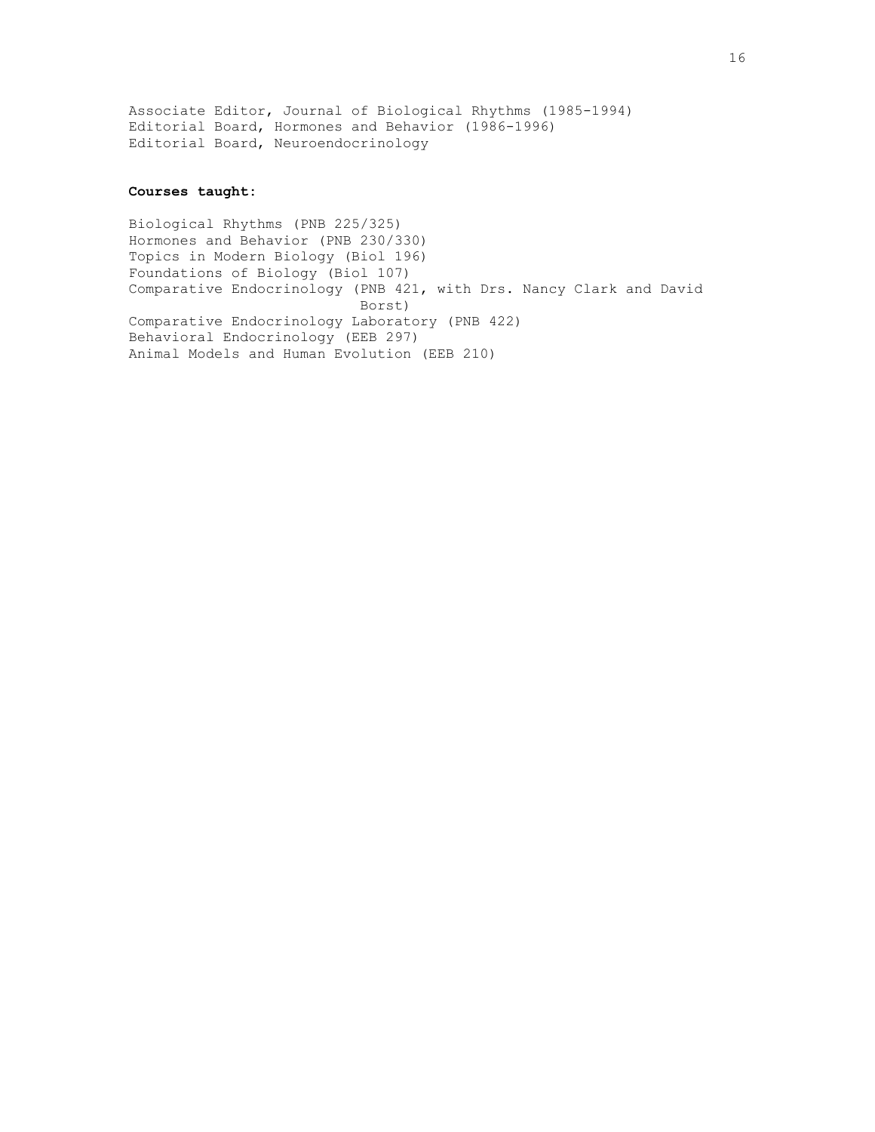Associate Editor, Journal of Biological Rhythms (1985-1994) Editorial Board, Hormones and Behavior (1986-1996) Editorial Board, Neuroendocrinology

### **Courses taught:**

Biological Rhythms (PNB 225/325) Hormones and Behavior (PNB 230/330) Topics in Modern Biology (Biol 196) Foundations of Biology (Biol 107) Comparative Endocrinology (PNB 421, with Drs. Nancy Clark and David Borst) Comparative Endocrinology Laboratory (PNB 422) Behavioral Endocrinology (EEB 297) Animal Models and Human Evolution (EEB 210)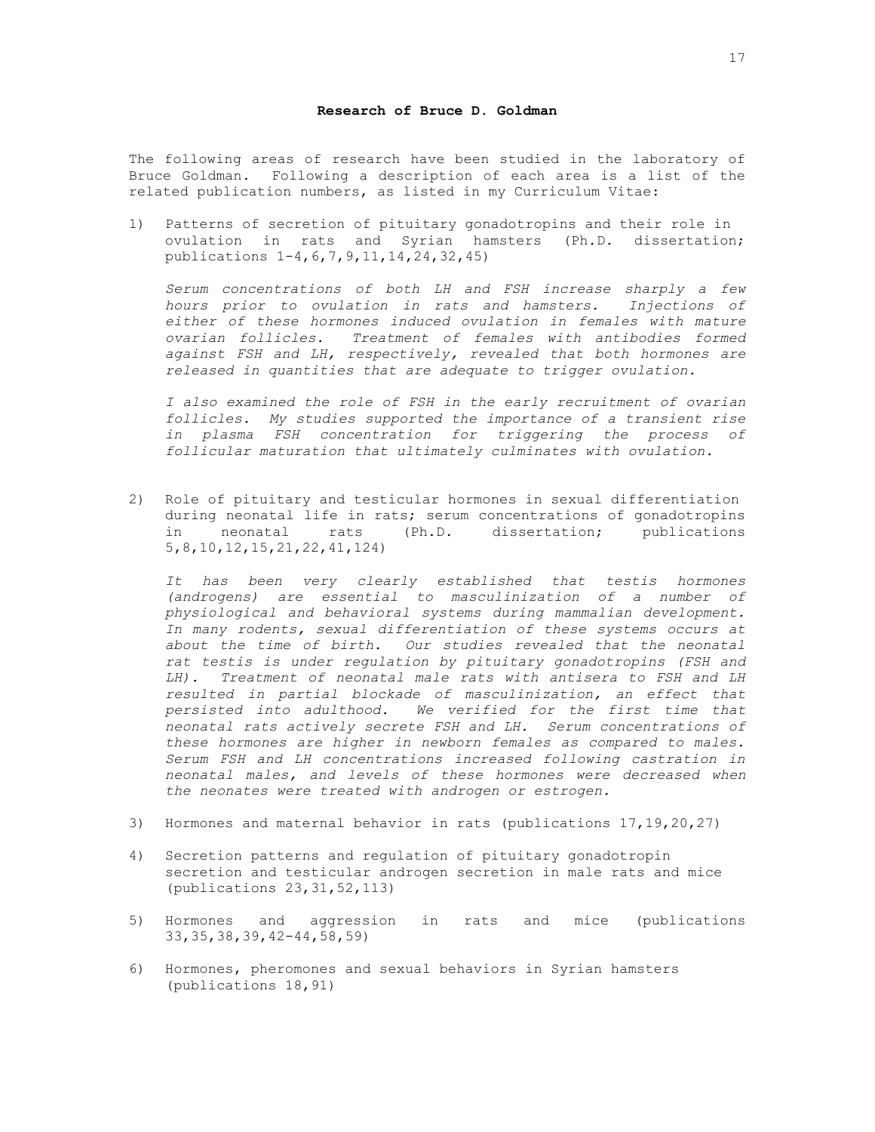### **Research of Bruce D. Goldman**

The following areas of research have been studied in the laboratory of Bruce Goldman. Following a description of each area is a list of the related publication numbers, as listed in my Curriculum Vitae:

1) Patterns of secretion of pituitary gonadotropins and their role in ovulation in rats and Syrian hamsters (Ph.D. dissertation; publications 1-4,6,7,9,11,14,24,32,45)

*Serum concentrations of both LH and FSH increase sharply a few hours prior to ovulation in rats and hamsters. Injections of either of these hormones induced ovulation in females with mature ovarian follicles. Treatment of females with antibodies formed against FSH and LH, respectively, revealed that both hormones are released in quantities that are adequate to trigger ovulation.*

*I also examined the role of FSH in the early recruitment of ovarian follicles. My studies supported the importance of a transient rise in plasma FSH concentration for triggering the process of follicular maturation that ultimately culminates with ovulation.*

2) Role of pituitary and testicular hormones in sexual differentiation during neonatal life in rats; serum concentrations of gonadotropins in neonatal rats (Ph.D. dissertation; publications 5,8,10,12,15,21,22,41,124)

*It has been very clearly established that testis hormones (androgens) are essential to masculinization of a number of physiological and behavioral systems during mammalian development. In many rodents, sexual differentiation of these systems occurs at about the time of birth. Our studies revealed that the neonatal rat testis is under regulation by pituitary gonadotropins (FSH and LH). Treatment of neonatal male rats with antisera to FSH and LH resulted in partial blockade of masculinization, an effect that persisted into adulthood. We verified for the first time that neonatal rats actively secrete FSH and LH. Serum concentrations of these hormones are higher in newborn females as compared to males. Serum FSH and LH concentrations increased following castration in neonatal males, and levels of these hormones were decreased when the neonates were treated with androgen or estrogen.*

- 3) Hormones and maternal behavior in rats (publications 17,19,20,27)
- 4) Secretion patterns and regulation of pituitary gonadotropin secretion and testicular androgen secretion in male rats and mice (publications 23,31,52,113)
- 5) Hormones and aggression in rats and mice (publications 33,35,38,39,42-44,58,59)
- 6) Hormones, pheromones and sexual behaviors in Syrian hamsters (publications 18,91)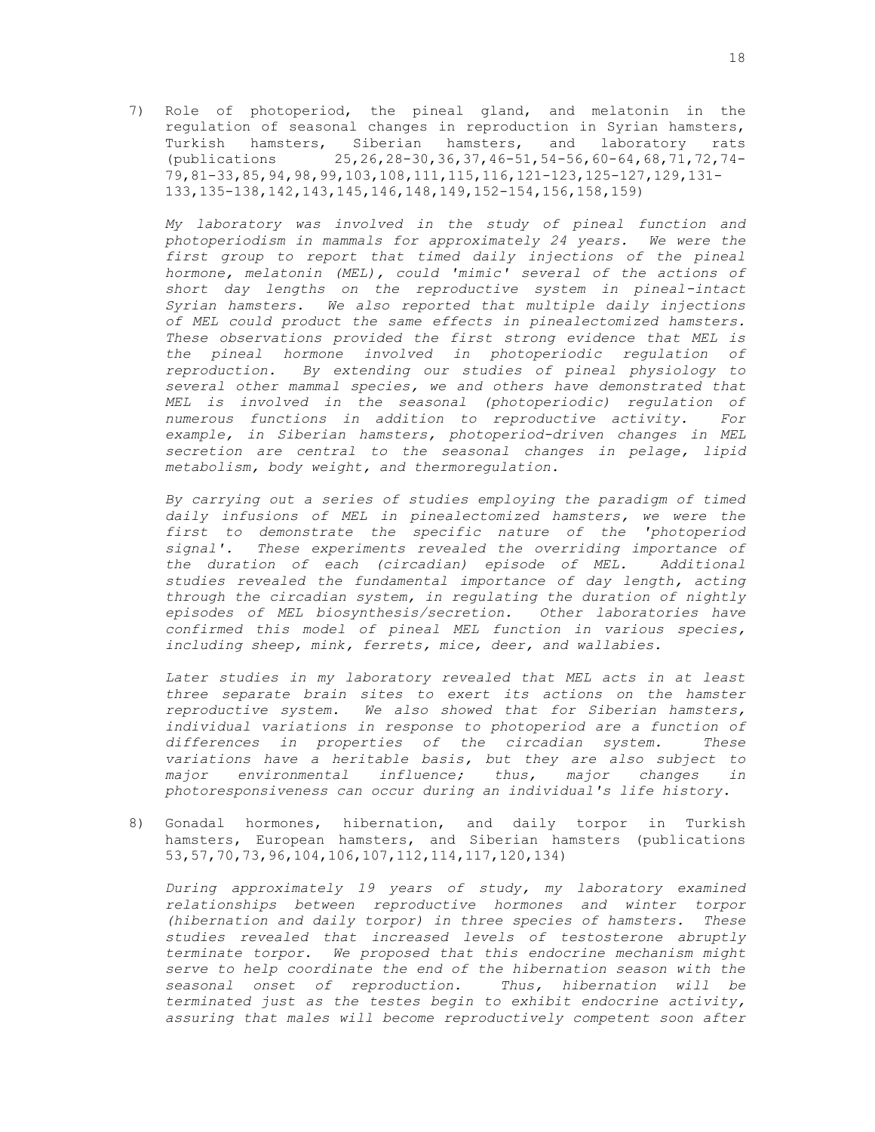7) Role of photoperiod, the pineal gland, and melatonin in the regulation of seasonal changes in reproduction in Syrian hamsters, Turkish hamsters, Siberian hamsters, and laboratory rats (publications 25,26,28-30,36,37,46-51,54-56,60-64,68,71,72,74- 79,81-33,85,94,98,99,103,108,111,115,116,121-123,125-127,129,131- 133,135-138,142,143,145,146,148,149,152-154,156,158,159)

*My laboratory was involved in the study of pineal function and photoperiodism in mammals for approximately 24 years. We were the first group to report that timed daily injections of the pineal hormone, melatonin (MEL), could 'mimic' several of the actions of short day lengths on the reproductive system in pineal-intact Syrian hamsters. We also reported that multiple daily injections of MEL could product the same effects in pinealectomized hamsters. These observations provided the first strong evidence that MEL is the pineal hormone involved in photoperiodic regulation of reproduction. By extending our studies of pineal physiology to several other mammal species, we and others have demonstrated that MEL is involved in the seasonal (photoperiodic) regulation of numerous functions in addition to reproductive activity. For example, in Siberian hamsters, photoperiod-driven changes in MEL secretion are central to the seasonal changes in pelage, lipid metabolism, body weight, and thermoregulation.*

*By carrying out a series of studies employing the paradigm of timed daily infusions of MEL in pinealectomized hamsters, we were the first to demonstrate the specific nature of the 'photoperiod signal'. These experiments revealed the overriding importance of the duration of each (circadian) episode of MEL. Additional studies revealed the fundamental importance of day length, acting through the circadian system, in regulating the duration of nightly episodes of MEL biosynthesis/secretion. Other laboratories have confirmed this model of pineal MEL function in various species, including sheep, mink, ferrets, mice, deer, and wallabies.*

*Later studies in my laboratory revealed that MEL acts in at least three separate brain sites to exert its actions on the hamster reproductive system. We also showed that for Siberian hamsters, individual variations in response to photoperiod are a function of differences in properties of the circadian system. These variations have a heritable basis, but they are also subject to major environmental influence; thus, major changes in photoresponsiveness can occur during an individual's life history.* 

8) Gonadal hormones, hibernation, and daily torpor in Turkish hamsters, European hamsters, and Siberian hamsters (publications 53,57,70,73,96,104,106,107,112,114,117,120,134)

*During approximately 19 years of study, my laboratory examined relationships between reproductive hormones and winter torpor (hibernation and daily torpor) in three species of hamsters. These studies revealed that increased levels of testosterone abruptly terminate torpor. We proposed that this endocrine mechanism might serve to help coordinate the end of the hibernation season with the seasonal onset of reproduction. Thus, hibernation will be terminated just as the testes begin to exhibit endocrine activity, assuring that males will become reproductively competent soon after*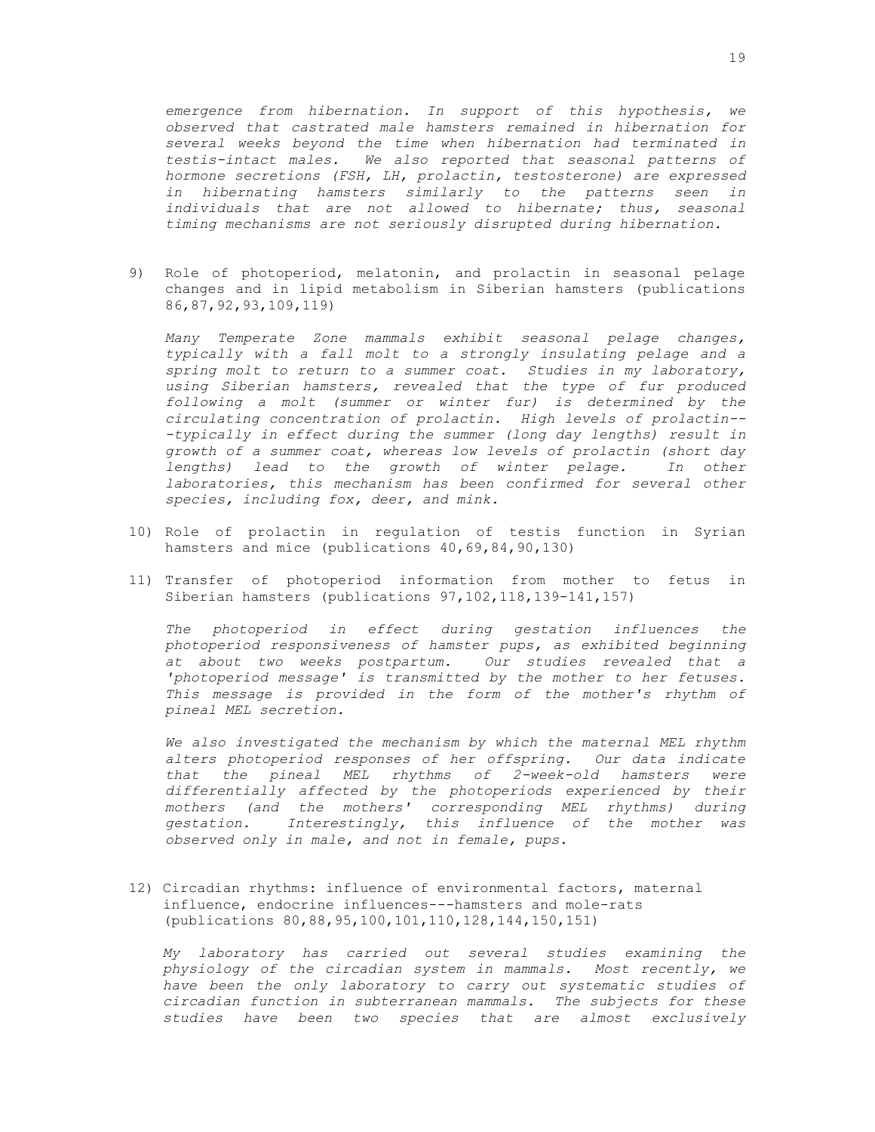*emergence from hibernation. In support of this hypothesis, we observed that castrated male hamsters remained in hibernation for several weeks beyond the time when hibernation had terminated in testis-intact males. We also reported that seasonal patterns of hormone secretions (FSH, LH, prolactin, testosterone) are expressed in hibernating hamsters similarly to the patterns seen in individuals that are not allowed to hibernate; thus, seasonal timing mechanisms are not seriously disrupted during hibernation.*

9) Role of photoperiod, melatonin, and prolactin in seasonal pelage changes and in lipid metabolism in Siberian hamsters (publications 86,87,92,93,109,119)

*Many Temperate Zone mammals exhibit seasonal pelage changes, typically with a fall molt to a strongly insulating pelage and a spring molt to return to a summer coat. Studies in my laboratory, using Siberian hamsters, revealed that the type of fur produced following a molt (summer or winter fur) is determined by the circulating concentration of prolactin. High levels of prolactin-- -typically in effect during the summer (long day lengths) result in growth of a summer coat, whereas low levels of prolactin (short day lengths*) lead to the growth of winter pelage. In other *laboratories, this mechanism has been confirmed for several other species, including fox, deer, and mink.*

- 10) Role of prolactin in regulation of testis function in Syrian hamsters and mice (publications 40,69,84,90,130)
- 11) Transfer of photoperiod information from mother to fetus in Siberian hamsters (publications 97,102,118,139-141,157)

*The photoperiod in effect during gestation influences the photoperiod responsiveness of hamster pups, as exhibited beginning at about two weeks postpartum. Our studies revealed that a 'photoperiod message' is transmitted by the mother to her fetuses. This message is provided in the form of the mother's rhythm of pineal MEL secretion.* 

*We also investigated the mechanism by which the maternal MEL rhythm alters photoperiod responses of her offspring. Our data indicate that the pineal MEL rhythms of 2-week-old hamsters were differentially affected by the photoperiods experienced by their mothers (and the mothers' corresponding MEL rhythms) during gestation. Interestingly, this influence of the mother was observed only in male, and not in female, pups.*

12) Circadian rhythms: influence of environmental factors, maternal influence, endocrine influences---hamsters and mole-rats (publications 80,88,95,100,101,110,128,144,150,151)

*My laboratory has carried out several studies examining the physiology of the circadian system in mammals. Most recently, we have been the only laboratory to carry out systematic studies of circadian function in subterranean mammals. The subjects for these studies have been two species that are almost exclusively*